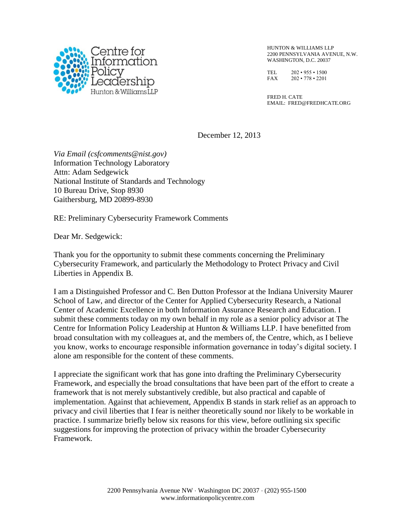

HUNTON & WILLIAMS LLP 2200 PENNSYLVANIA AVENUE, N.W. WASHINGTON, D.C. 20037

TEL 202 • 955 • 1500 FAX 202 • 778 • 2201

FRED H. CATE EMAIL: FRED@FREDHCATE.ORG

December 12, 2013

*Via Email (csfcomments@nist.gov)* Information Technology Laboratory Attn: Adam Sedgewick National Institute of Standards and Technology 10 Bureau Drive, Stop 8930 Gaithersburg, MD 20899-8930

RE: Preliminary Cybersecurity Framework Comments

Dear Mr. Sedgewick:

Thank you for the opportunity to submit these comments concerning the Preliminary Cybersecurity Framework, and particularly the Methodology to Protect Privacy and Civil Liberties in Appendix B.

I am a Distinguished Professor and C. Ben Dutton Professor at the Indiana University Maurer School of Law, and director of the Center for Applied Cybersecurity Research, a National Center of Academic Excellence in both Information Assurance Research and Education. I submit these comments today on my own behalf in my role as a senior policy advisor at The Centre for Information Policy Leadership at Hunton & Williams LLP. I have benefitted from broad consultation with my colleagues at, and the members of, the Centre, which, as I believe you know, works to encourage responsible information governance in today's digital society. I alone am responsible for the content of these comments.

I appreciate the significant work that has gone into drafting the Preliminary Cybersecurity Framework, and especially the broad consultations that have been part of the effort to create a framework that is not merely substantively credible, but also practical and capable of implementation. Against that achievement, Appendix B stands in stark relief as an approach to privacy and civil liberties that I fear is neither theoretically sound nor likely to be workable in practice. I summarize briefly below six reasons for this view, before outlining six specific suggestions for improving the protection of privacy within the broader Cybersecurity Framework.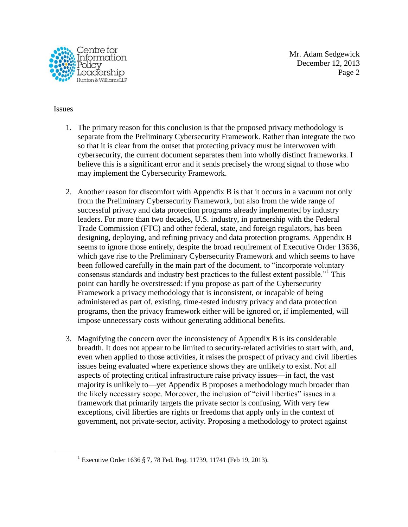

Mr. Adam Sedgewick December 12, 2013 Page 2

## **Issues**

1

- 1. The primary reason for this conclusion is that the proposed privacy methodology is separate from the Preliminary Cybersecurity Framework. Rather than integrate the two so that it is clear from the outset that protecting privacy must be interwoven with cybersecurity, the current document separates them into wholly distinct frameworks. I believe this is a significant error and it sends precisely the wrong signal to those who may implement the Cybersecurity Framework.
- 2. Another reason for discomfort with Appendix B is that it occurs in a vacuum not only from the Preliminary Cybersecurity Framework, but also from the wide range of successful privacy and data protection programs already implemented by industry leaders. For more than two decades, U.S. industry, in partnership with the Federal Trade Commission (FTC) and other federal, state, and foreign regulators, has been designing, deploying, and refining privacy and data protection programs. Appendix B seems to ignore those entirely, despite the broad requirement of Executive Order 13636, which gave rise to the Preliminary Cybersecurity Framework and which seems to have been followed carefully in the main part of the document, to "incorporate voluntary consensus standards and industry best practices to the fullest extent possible."<sup>1</sup> This point can hardly be overstressed: if you propose as part of the Cybersecurity Framework a privacy methodology that is inconsistent, or incapable of being administered as part of, existing, time-tested industry privacy and data protection programs, then the privacy framework either will be ignored or, if implemented, will impose unnecessary costs without generating additional benefits.
- 3. Magnifying the concern over the inconsistency of Appendix B is its considerable breadth. It does not appear to be limited to security-related activities to start with, and, even when applied to those activities, it raises the prospect of privacy and civil liberties issues being evaluated where experience shows they are unlikely to exist. Not all aspects of protecting critical infrastructure raise privacy issues—in fact, the vast majority is unlikely to—yet Appendix B proposes a methodology much broader than the likely necessary scope. Moreover, the inclusion of "civil liberties" issues in a framework that primarily targets the private sector is confusing. With very few exceptions, civil liberties are rights or freedoms that apply only in the context of government, not private-sector, activity. Proposing a methodology to protect against

<sup>&</sup>lt;sup>1</sup> Executive Order 1636 § 7, 78 Fed. Reg. 11739, 11741 (Feb 19, 2013).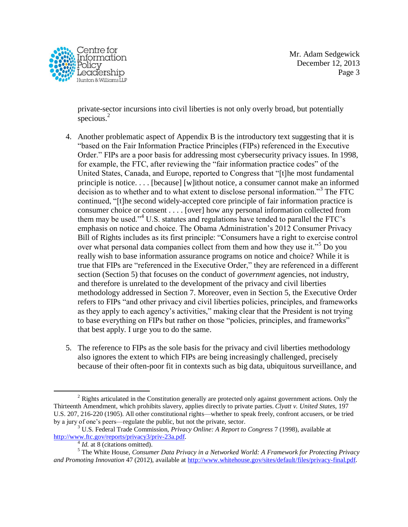

Mr. Adam Sedgewick December 12, 2013 Page 3

private-sector incursions into civil liberties is not only overly broad, but potentially specious. $2$ 

- 4. Another problematic aspect of Appendix B is the introductory text suggesting that it is "based on the Fair Information Practice Principles (FIPs) referenced in the Executive Order." FIPs are a poor basis for addressing most cybersecurity privacy issues. In 1998, for example, the FTC, after reviewing the "fair information practice codes" of the United States, Canada, and Europe, reported to Congress that "[t]he most fundamental principle is notice. . . . [because] [w]ithout notice, a consumer cannot make an informed decision as to whether and to what extent to disclose personal information."<sup>3</sup> The FTC continued, "[t]he second widely-accepted core principle of fair information practice is consumer choice or consent . . . . [over] how any personal information collected from them may be used."<sup>4</sup> U.S. statutes and regulations have tended to parallel the FTC's emphasis on notice and choice. The Obama Administration's 2012 Consumer Privacy Bill of Rights includes as its first principle: "Consumers have a right to exercise control over what personal data companies collect from them and how they use it."<sup>5</sup> Do you really wish to base information assurance programs on notice and choice? While it is true that FIPs are "referenced in the Executive Order," they are referenced in a different section (Section 5) that focuses on the conduct of *government* agencies, not industry, and therefore is unrelated to the development of the privacy and civil liberties methodology addressed in Section 7. Moreover, even in Section 5, the Executive Order refers to FIPs "and other privacy and civil liberties policies, principles, and frameworks as they apply to each agency's activities," making clear that the President is not trying to base everything on FIPs but rather on those "policies, principles, and frameworks" that best apply. I urge you to do the same.
- 5. The reference to FIPs as the sole basis for the privacy and civil liberties methodology also ignores the extent to which FIPs are being increasingly challenged, precisely because of their often-poor fit in contexts such as big data, ubiquitous surveillance, and

<sup>&</sup>lt;u>.</u> <sup>2</sup> Rights articulated in the Constitution generally are protected only against government actions. Only the Thirteenth Amendment, which prohibits slavery, applies directly to private parties. *Clyatt v. United States*, 197 U.S. 207, 216-220 (1905). All other constitutional rights—whether to speak freely, confront accusers, or be tried by a jury of one's peers—regulate the public, but not the private, sector.

<sup>3</sup> U.S. Federal Trade Commission, *Privacy Online: A Report to Congress* 7 (1998), available at [http://www.ftc.gov/reports/privacy3/priv-23a.pdf.](http://www.ftc.gov/reports/privacy3/priv-23a.pdf)

<sup>&</sup>lt;sup>4</sup> *Id.* at 8 (citations omitted).

<sup>5</sup> The White House, *Consumer Data Privacy in a Networked World: A Framework for Protecting Privacy and Promoting Innovation* 47 (2012), available at [http://www.whitehouse.gov/sites/default/files/privacy-final.pdf.](http://www.whitehouse.gov/sites/default/files/privacy-final.pdf)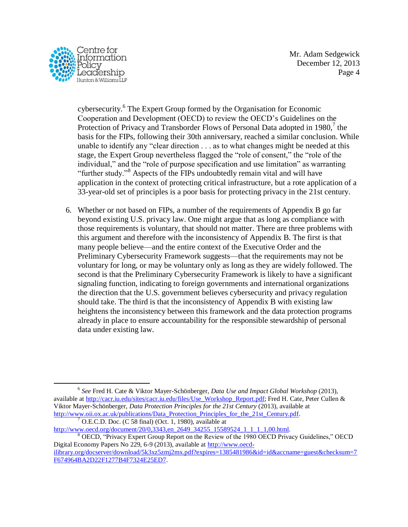

Mr. Adam Sedgewick December 12, 2013 Page 4

cybersecurity.<sup>6</sup> The Expert Group formed by the Organisation for Economic Cooperation and Development (OECD) to review the OECD's Guidelines on the Protection of Privacy and Transborder Flows of Personal Data adopted in  $1980$ ,<sup>7</sup> the basis for the FIPs, following their 30th anniversary, reached a similar conclusion. While unable to identify any "clear direction . . . as to what changes might be needed at this stage, the Expert Group nevertheless flagged the "role of consent," the "role of the individual," and the "role of purpose specification and use limitation" as warranting "further study."<sup>8</sup> Aspects of the FIPs undoubtedly remain vital and will have application in the context of protecting critical infrastructure, but a rote application of a 33-year-old set of principles is a poor basis for protecting privacy in the 21st century.

6. Whether or not based on FIPs, a number of the requirements of Appendix B go far beyond existing U.S. privacy law. One might argue that as long as compliance with those requirements is voluntary, that should not matter. There are three problems with this argument and therefore with the inconsistency of Appendix B. The first is that many people believe—and the entire context of the Executive Order and the Preliminary Cybersecurity Framework suggests—that the requirements may not be voluntary for long, or may be voluntary only as long as they are widely followed. The second is that the Preliminary Cybersecurity Framework is likely to have a significant signaling function, indicating to foreign governments and international organizations the direction that the U.S. government believes cybersecurity and privacy regulation should take. The third is that the inconsistency of Appendix B with existing law heightens the inconsistency between this framework and the data protection programs already in place to ensure accountability for the responsible stewardship of personal data under existing law.

<u>.</u>

<sup>6</sup> *See* Fred H. Cate & Viktor Mayer-Schönberger, *Data Use and Impact Global Workshop* (2013), available at [http://cacr.iu.edu/sites/cacr.iu.edu/files/Use\\_Workshop\\_Report.pdf;](http://cacr.iu.edu/sites/cacr.iu.edu/files/Use_Workshop_Report.pdf) Fred H. Cate, Peter Cullen & Viktor Mayer-Schönberger, *Data Protection Principles for the 21st Century* (2013), available at [http://www.oii.ox.ac.uk/publications/Data\\_Protection\\_Principles\\_for\\_the\\_21st\\_Century.pdf.](http://www.oii.ox.ac.uk/publications/Data_Protection_Principles_for_the_21st_Century.pdf)

 $<sup>7</sup>$  O.E.C.D. Doc. (C 58 final) (Oct. 1, 1980), available at</sup>

[http://www.oecd.org/document/20/0,3343,en\\_2649\\_34255\\_15589524\\_1\\_1\\_1\\_1,00.html.](http://www.oecd.org/document/20/0,3343,en_2649_34255_15589524_1_1_1_1,00.html) <sup>8</sup> OECD, "Privacy Expert Group Report on the Review of the 1980 OECD Privacy Guidelines," OECD Digital Economy Papers No 229, 6-9 (2013), available at [http://www.oecd-](http://www.oecd-ilibrary.org/docserver/download/5k3xz5zmj2mx.pdf?expires=1385481986&id=id&accname=guest&checksum=7F674964BA2D22F1277B4F7324E25ED7)

[ilibrary.org/docserver/download/5k3xz5zmj2mx.pdf?expires=1385481986&id=id&accname=guest&checksum=7](http://www.oecd-ilibrary.org/docserver/download/5k3xz5zmj2mx.pdf?expires=1385481986&id=id&accname=guest&checksum=7F674964BA2D22F1277B4F7324E25ED7) [F674964BA2D22F1277B4F7324E25ED7.](http://www.oecd-ilibrary.org/docserver/download/5k3xz5zmj2mx.pdf?expires=1385481986&id=id&accname=guest&checksum=7F674964BA2D22F1277B4F7324E25ED7)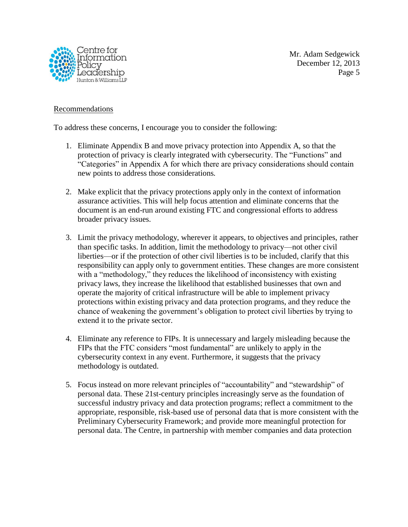

## **Recommendations**

To address these concerns, I encourage you to consider the following:

- 1. Eliminate Appendix B and move privacy protection into Appendix A, so that the protection of privacy is clearly integrated with cybersecurity. The "Functions" and "Categories" in Appendix A for which there are privacy considerations should contain new points to address those considerations.
- 2. Make explicit that the privacy protections apply only in the context of information assurance activities. This will help focus attention and eliminate concerns that the document is an end-run around existing FTC and congressional efforts to address broader privacy issues.
- 3. Limit the privacy methodology, wherever it appears, to objectives and principles, rather than specific tasks. In addition, limit the methodology to privacy—not other civil liberties—or if the protection of other civil liberties is to be included, clarify that this responsibility can apply only to government entities. These changes are more consistent with a "methodology," they reduces the likelihood of inconsistency with existing privacy laws, they increase the likelihood that established businesses that own and operate the majority of critical infrastructure will be able to implement privacy protections within existing privacy and data protection programs, and they reduce the chance of weakening the government's obligation to protect civil liberties by trying to extend it to the private sector.
- 4. Eliminate any reference to FIPs. It is unnecessary and largely misleading because the FIPs that the FTC considers "most fundamental" are unlikely to apply in the cybersecurity context in any event. Furthermore, it suggests that the privacy methodology is outdated.
- 5. Focus instead on more relevant principles of "accountability" and "stewardship" of personal data. These 21st-century principles increasingly serve as the foundation of successful industry privacy and data protection programs; reflect a commitment to the appropriate, responsible, risk-based use of personal data that is more consistent with the Preliminary Cybersecurity Framework; and provide more meaningful protection for personal data. The Centre, in partnership with member companies and data protection